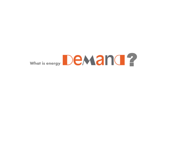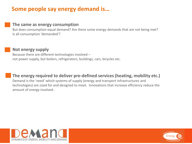### **Some people say energy demand is…**

#### **The same as energy consumption**

But does consumption equal demand? Are there some energy demands that are not being met? Is all consumption 'demanded'?

#### **Not energy supply**

Because there are different technologies involved – not power supply, but boilers, refrigerators, buildings, cars, bicycles etc.

**The energy required to deliver pre-defined services (heating, mobility etc.)** Demand is the 'need' which systems of supply (energy and transport infrastructures and technologies) are sized for and designed to meet. Innovations that increase efficiency reduce the amount of energy involved .



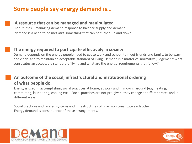## **Some people say energy demand is…**

#### **A resource that can be managed and manipulated**

For utilities – managing demand response to balance supply and demand: demand is a need to be met *and* something that can be turned up and down.

#### **The energy required to participate effectively in society**

Demand depends on the energy people need to get to work and school, to meet friends and family, to be warm and clean and to maintain an acceptable standard of living. Demand is a matter of normative judgement: what constitutes an acceptable standard of living and what are the energy requirements that follow?

#### **An outcome of the social, infrastructural and institutional ordering of what people do.**

Energy is used in accomplishing social practices at home, at work and in moving around (e.g. heating, commuting, laundering, cooling etc.). Social practices are not pre-given: they change at different rates and in different ways.

Social practices and related systems and infrastructures of provision constitute each other. Energy demand is consequence of these arrangements.



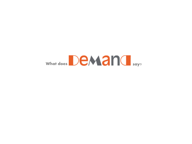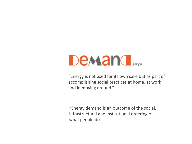# **Demand**

"Energy is not used for its own sake but as part of accomplishing social practices at home, at work and in moving around."

"Energy demand is an outcome of the social, infrastructural and institutional ordering of what people do."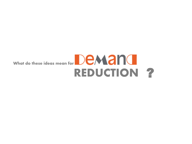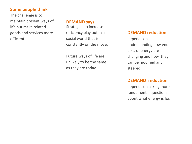The challenge is to maintain present ways of life but make related goods and services more efficient.

#### **DEMAND says**

Strategies to increase efficiency play out in a social world that is constantly on the move.

Future ways of life are unlikely to be the same as they are today.

#### **DEMAND reduction**

depends on understanding how enduses of energy are changing and how they can be modified and steered.

#### **DEMAND reduction**

depends on asking more fundamental questions about what energy is for.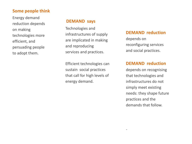Energy demand reduction depends on making technologies more efficient, and persuading people to adopt them.

#### **DEMAND says**

Technologies and infrastructures of supply are implicated in making and reproducing services and practices.

Efficient technologies can sustain social practices that call for high levels of energy demand.

#### **DEMAND reduction**

depends on reconfiguring services and social practices.

#### **DEMAND reduction**

depends on recognising that technologies and infrastructures do not simply meet existing needs: they shape future practices and the demands that follow.

-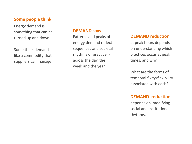Energy demand is something that can be turned up and down.

Some think demand is like a commodity that suppliers can manage.

#### **DEMAND says**

Patterns and peaks of energy demand reflect sequences and societal rhythms of practice across the day, the week and the year.

#### **DEMAND reduction**

at peak hours depends on understanding which practices occur at peak times, and why.

What are the forms of temporal fixity/flexibility associated with each?

#### **DEMAND reduction**

depends on modifying social and institutional rhythms.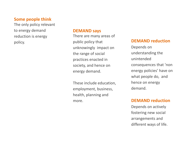The only policy relevant to energy demand reduction is energy policy.

#### **DEMAND says**

There are many areas of public policy that unknowingly impact on the range of social practices enacted in society, and hence on energy demand.

These include education, employment, business, health, planning and more.

#### **DEMAND reduction**

Depends on understanding the unintended consequences that 'non energy policies' have on what people do, and hence on energy demand.

#### **DEMAND reduction**

Depends on actively fostering new social arrangements and different ways of life.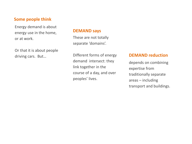Energy demand is about energy use in the home, or at work.

Or that it is about people driving cars. But…

#### **DEMAND says**

These are not totally separate 'domains'.

Different forms of energy demand intersect: they link together in the course of a day, and over peoples' lives.

#### **DEMAND reduction**

depends on combining expertise from traditionally separate areas – including transport and buildings.